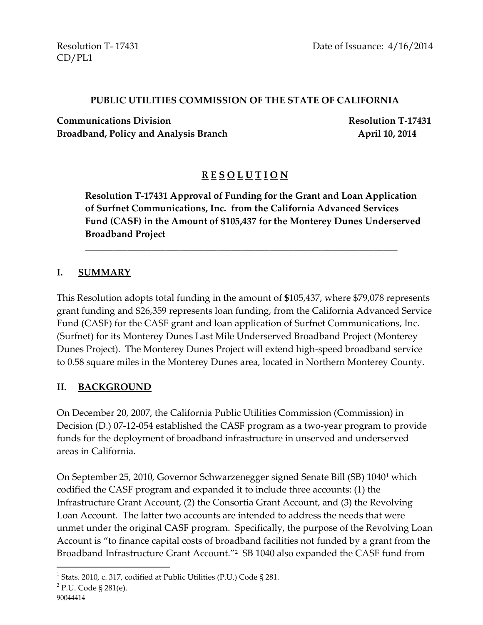CD/PL1

#### **PUBLIC UTILITIES COMMISSION OF THE STATE OF CALIFORNIA**

**Communications Division Resolution T-17431**  Broadband, Policy and Analysis Branch **April 10, 2014** 

# **R E S O L U T I O N**

**Resolution T-17431 Approval of Funding for the Grant and Loan Application of Surfnet Communications, Inc. from the California Advanced Services Fund (CASF) in the Amount of \$105,437 for the Monterey Dunes Underserved Broadband Project**

\_\_\_\_\_\_\_\_\_\_\_\_\_\_\_\_\_\_\_\_\_\_\_\_\_\_\_\_\_\_\_\_\_\_\_\_\_\_\_\_\_\_\_\_\_\_\_\_\_\_\_\_\_\_\_\_\_\_\_\_\_\_\_\_\_\_

#### **I. SUMMARY**

This Resolution adopts total funding in the amount of **\$**105,437, where \$79,078 represents grant funding and \$26,359 represents loan funding, from the California Advanced Service Fund (CASF) for the CASF grant and loan application of Surfnet Communications, Inc. (Surfnet) for its Monterey Dunes Last Mile Underserved Broadband Project (Monterey Dunes Project). The Monterey Dunes Project will extend high-speed broadband service to 0.58 square miles in the Monterey Dunes area, located in Northern Monterey County.

### **II. BACKGROUND**

On December 20, 2007, the California Public Utilities Commission (Commission) in Decision (D.) 07-12-054 established the CASF program as a two-year program to provide funds for the deployment of broadband infrastructure in unserved and underserved areas in California.

On September 25, 2010, Governor Schwarzenegger signed Senate Bill (SB) 1040<sup>1</sup> which codified the CASF program and expanded it to include three accounts: (1) the Infrastructure Grant Account, (2) the Consortia Grant Account, and (3) the Revolving Loan Account. The latter two accounts are intended to address the needs that were unmet under the original CASF program. Specifically, the purpose of the Revolving Loan Account is "to finance capital costs of broadband facilities not funded by a grant from the Broadband Infrastructure Grant Account."<sup>2</sup> SB 1040 also expanded the CASF fund from

 $\overline{a}$ 

<sup>&</sup>lt;sup>1</sup> Stats. 2010, c. 317, codified at Public Utilities (P.U.) Code § 281.

<sup>&</sup>lt;sup>2</sup> P.U. Code § 281(e).

<sup>90044414</sup>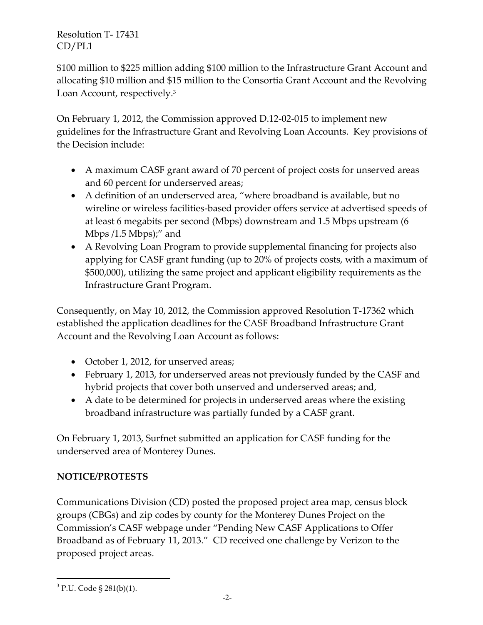\$100 million to \$225 million adding \$100 million to the Infrastructure Grant Account and allocating \$10 million and \$15 million to the Consortia Grant Account and the Revolving Loan Account, respectively.<sup>3</sup>

On February 1, 2012, the Commission approved D.12-02-015 to implement new guidelines for the Infrastructure Grant and Revolving Loan Accounts. Key provisions of the Decision include:

- A maximum CASF grant award of 70 percent of project costs for unserved areas and 60 percent for underserved areas;
- A definition of an underserved area, "where broadband is available, but no wireline or wireless facilities-based provider offers service at advertised speeds of at least 6 megabits per second (Mbps) downstream and 1.5 Mbps upstream (6 Mbps /1.5 Mbps);" and
- A Revolving Loan Program to provide supplemental financing for projects also applying for CASF grant funding (up to 20% of projects costs, with a maximum of \$500,000), utilizing the same project and applicant eligibility requirements as the Infrastructure Grant Program.

Consequently, on May 10, 2012, the Commission approved Resolution T-17362 which established the application deadlines for the CASF Broadband Infrastructure Grant Account and the Revolving Loan Account as follows:

- October 1, 2012, for unserved areas;
- February 1, 2013, for underserved areas not previously funded by the CASF and hybrid projects that cover both unserved and underserved areas; and,
- A date to be determined for projects in underserved areas where the existing broadband infrastructure was partially funded by a CASF grant.

On February 1, 2013, Surfnet submitted an application for CASF funding for the underserved area of Monterey Dunes.

# **NOTICE/PROTESTS**

Communications Division (CD) posted the proposed project area map, census block groups (CBGs) and zip codes by county for the Monterey Dunes Project on the Commission's CASF webpage under "Pending New CASF Applications to Offer Broadband as of February 11, 2013." CD received one challenge by Verizon to the proposed project areas.

 $\overline{\phantom{a}}$ <sup>3</sup> P.U. Code § 281(b)(1).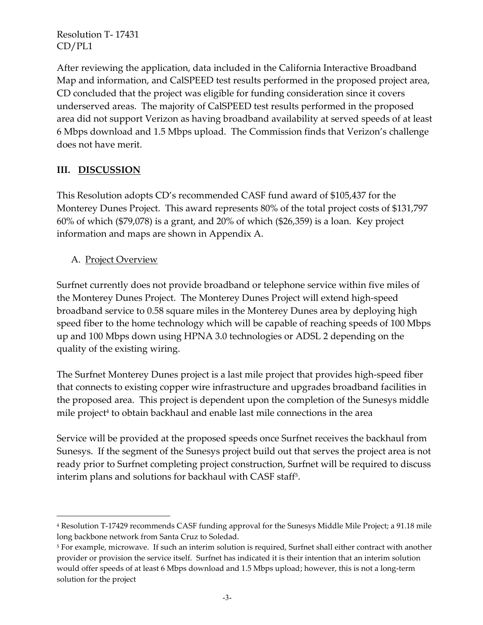After reviewing the application, data included in the California Interactive Broadband Map and information, and CalSPEED test results performed in the proposed project area, CD concluded that the project was eligible for funding consideration since it covers underserved areas. The majority of CalSPEED test results performed in the proposed area did not support Verizon as having broadband availability at served speeds of at least 6 Mbps download and 1.5 Mbps upload. The Commission finds that Verizon's challenge does not have merit.

# **III. DISCUSSION**

This Resolution adopts CD's recommended CASF fund award of \$105,437 for the Monterey Dunes Project. This award represents 80% of the total project costs of \$131,797 60% of which (\$79,078) is a grant, and 20% of which (\$26,359) is a loan. Key project information and maps are shown in Appendix A.

## A. Project Overview

l

Surfnet currently does not provide broadband or telephone service within five miles of the Monterey Dunes Project. The Monterey Dunes Project will extend high-speed broadband service to 0.58 square miles in the Monterey Dunes area by deploying high speed fiber to the home technology which will be capable of reaching speeds of 100 Mbps up and 100 Mbps down using HPNA 3.0 technologies or ADSL 2 depending on the quality of the existing wiring.

The Surfnet Monterey Dunes project is a last mile project that provides high-speed fiber that connects to existing copper wire infrastructure and upgrades broadband facilities in the proposed area. This project is dependent upon the completion of the Sunesys middle mile project<sup>4</sup> to obtain backhaul and enable last mile connections in the area

Service will be provided at the proposed speeds once Surfnet receives the backhaul from Sunesys. If the segment of the Sunesys project build out that serves the project area is not ready prior to Surfnet completing project construction, Surfnet will be required to discuss interim plans and solutions for backhaul with CASF staff<sup>5</sup> .

<sup>4</sup> Resolution T-17429 recommends CASF funding approval for the Sunesys Middle Mile Project; a 91.18 mile long backbone network from Santa Cruz to Soledad.

<sup>5</sup> For example, microwave. If such an interim solution is required, Surfnet shall either contract with another provider or provision the service itself. Surfnet has indicated it is their intention that an interim solution would offer speeds of at least 6 Mbps download and 1.5 Mbps upload; however, this is not a long-term solution for the project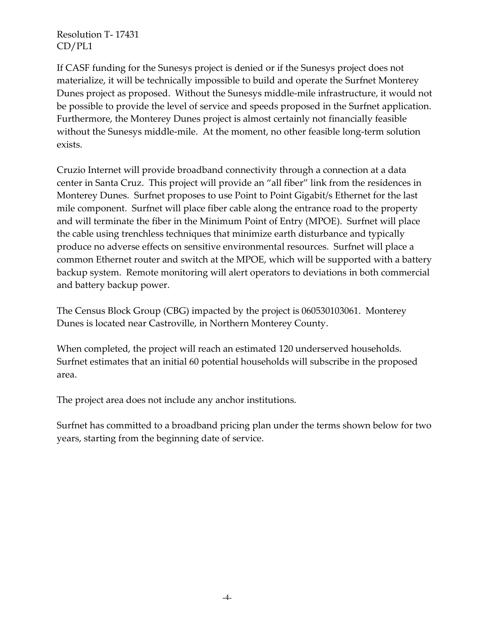If CASF funding for the Sunesys project is denied or if the Sunesys project does not materialize, it will be technically impossible to build and operate the Surfnet Monterey Dunes project as proposed. Without the Sunesys middle-mile infrastructure, it would not be possible to provide the level of service and speeds proposed in the Surfnet application. Furthermore, the Monterey Dunes project is almost certainly not financially feasible without the Sunesys middle-mile. At the moment, no other feasible long-term solution exists.

Cruzio Internet will provide broadband connectivity through a connection at a data center in Santa Cruz. This project will provide an "all fiber" link from the residences in Monterey Dunes. Surfnet proposes to use Point to Point Gigabit/s Ethernet for the last mile component. Surfnet will place fiber cable along the entrance road to the property and will terminate the fiber in the Minimum Point of Entry (MPOE). Surfnet will place the cable using trenchless techniques that minimize earth disturbance and typically produce no adverse effects on sensitive environmental resources. Surfnet will place a common Ethernet router and switch at the MPOE, which will be supported with a battery backup system. Remote monitoring will alert operators to deviations in both commercial and battery backup power.

The Census Block Group (CBG) impacted by the project is 060530103061. Monterey Dunes is located near Castroville, in Northern Monterey County.

When completed, the project will reach an estimated 120 underserved households. Surfnet estimates that an initial 60 potential households will subscribe in the proposed area.

The project area does not include any anchor institutions.

Surfnet has committed to a broadband pricing plan under the terms shown below for two years, starting from the beginning date of service.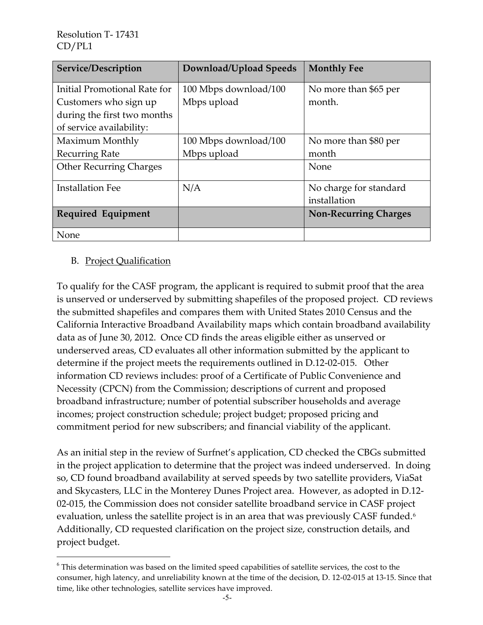| Service/Description            | Download/Upload Speeds | <b>Monthly Fee</b>           |
|--------------------------------|------------------------|------------------------------|
| Initial Promotional Rate for   | 100 Mbps download/100  | No more than \$65 per        |
| Customers who sign up          | Mbps upload            | month.                       |
| during the first two months    |                        |                              |
| of service availability:       |                        |                              |
| Maximum Monthly                | 100 Mbps download/100  | No more than \$80 per        |
| <b>Recurring Rate</b>          | Mbps upload            | month                        |
| <b>Other Recurring Charges</b> |                        | None                         |
| <b>Installation Fee</b>        | N/A                    | No charge for standard       |
|                                |                        | installation                 |
| <b>Required Equipment</b>      |                        | <b>Non-Recurring Charges</b> |
| None                           |                        |                              |

### B. Project Qualification

 $\overline{\phantom{a}}$ 

To qualify for the CASF program, the applicant is required to submit proof that the area is unserved or underserved by submitting shapefiles of the proposed project. CD reviews the submitted shapefiles and compares them with United States 2010 Census and the California Interactive Broadband Availability maps which contain broadband availability data as of June 30, 2012. Once CD finds the areas eligible either as unserved or underserved areas, CD evaluates all other information submitted by the applicant to determine if the project meets the requirements outlined in D.12-02-015. Other information CD reviews includes: proof of a Certificate of Public Convenience and Necessity (CPCN) from the Commission; descriptions of current and proposed broadband infrastructure; number of potential subscriber households and average incomes; project construction schedule; project budget; proposed pricing and commitment period for new subscribers; and financial viability of the applicant.

As an initial step in the review of Surfnet's application, CD checked the CBGs submitted in the project application to determine that the project was indeed underserved. In doing so, CD found broadband availability at served speeds by two satellite providers, ViaSat and Skycasters, LLC in the Monterey Dunes Project area. However, as adopted in D.12- 02-015, the Commission does not consider satellite broadband service in CASF project evaluation, unless the satellite project is in an area that was previously CASF funded.<sup>6</sup> Additionally, CD requested clarification on the project size, construction details, and project budget.

<sup>6</sup> This determination was based on the limited speed capabilities of satellite services, the cost to the consumer, high latency, and unreliability known at the time of the decision, D. 12-02-015 at 13-15. Since that time, like other technologies, satellite services have improved.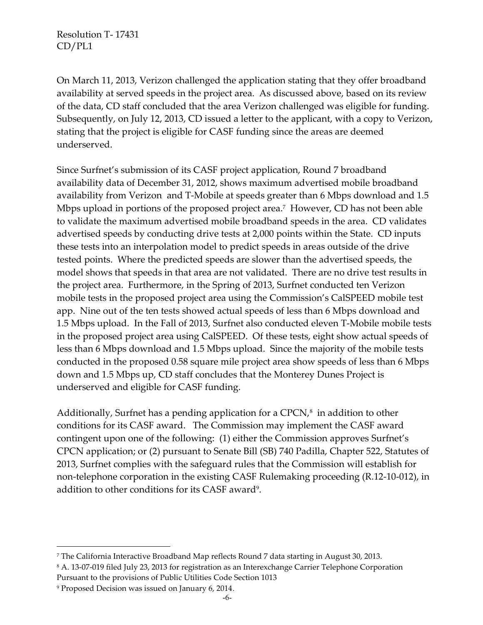On March 11, 2013, Verizon challenged the application stating that they offer broadband availability at served speeds in the project area. As discussed above, based on its review of the data, CD staff concluded that the area Verizon challenged was eligible for funding. Subsequently, on July 12, 2013, CD issued a letter to the applicant, with a copy to Verizon, stating that the project is eligible for CASF funding since the areas are deemed underserved.

Since Surfnet's submission of its CASF project application, Round 7 broadband availability data of December 31, 2012, shows maximum advertised mobile broadband availability from Verizon and T-Mobile at speeds greater than 6 Mbps download and 1.5 Mbps upload in portions of the proposed project area.<sup>7</sup> However, CD has not been able to validate the maximum advertised mobile broadband speeds in the area. CD validates advertised speeds by conducting drive tests at 2,000 points within the State. CD inputs these tests into an interpolation model to predict speeds in areas outside of the drive tested points. Where the predicted speeds are slower than the advertised speeds, the model shows that speeds in that area are not validated. There are no drive test results in the project area. Furthermore, in the Spring of 2013, Surfnet conducted ten Verizon mobile tests in the proposed project area using the Commission's CalSPEED mobile test app. Nine out of the ten tests showed actual speeds of less than 6 Mbps download and 1.5 Mbps upload. In the Fall of 2013, Surfnet also conducted eleven T-Mobile mobile tests in the proposed project area using CalSPEED. Of these tests, eight show actual speeds of less than 6 Mbps download and 1.5 Mbps upload. Since the majority of the mobile tests conducted in the proposed 0.58 square mile project area show speeds of less than 6 Mbps down and 1.5 Mbps up, CD staff concludes that the Monterey Dunes Project is underserved and eligible for CASF funding.

Additionally, Surfnet has a pending application for a CPCN, $^8$  in addition to other conditions for its CASF award. The Commission may implement the CASF award contingent upon one of the following: (1) either the Commission approves Surfnet's CPCN application; or (2) pursuant to Senate Bill (SB) 740 Padilla, Chapter 522, Statutes of 2013, Surfnet complies with the safeguard rules that the Commission will establish for non-telephone corporation in the existing CASF Rulemaking proceeding (R.12-10-012), in addition to other conditions for its CASF award<sup>9</sup>.

 $\overline{a}$ 

<sup>7</sup> The California Interactive Broadband Map reflects Round 7 data starting in August 30, 2013.

<sup>8</sup> A. 13-07-019 filed July 23, 2013 for registration as an Interexchange Carrier Telephone Corporation Pursuant to the provisions of Public Utilities Code Section 1013

<sup>9</sup> Proposed Decision was issued on January 6, 2014.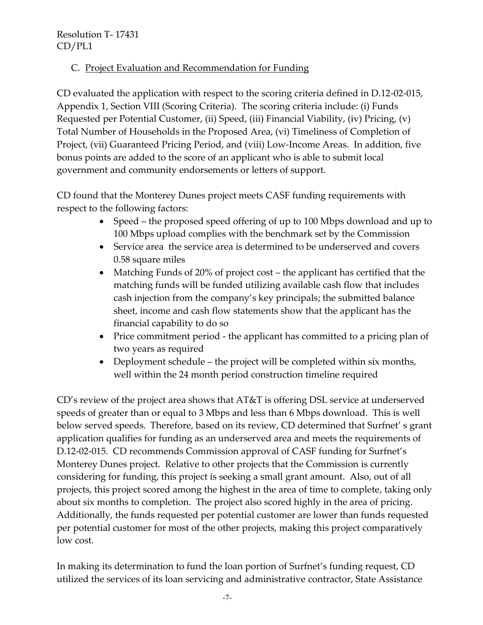# C. Project Evaluation and Recommendation for Funding

CD evaluated the application with respect to the scoring criteria defined in D.12-02-015, Appendix 1, Section VIII (Scoring Criteria). The scoring criteria include: (i) Funds Requested per Potential Customer, (ii) Speed, (iii) Financial Viability, (iv) Pricing, (v) Total Number of Households in the Proposed Area, (vi) Timeliness of Completion of Project, (vii) Guaranteed Pricing Period, and (viii) Low-Income Areas. In addition, five bonus points are added to the score of an applicant who is able to submit local government and community endorsements or letters of support.

CD found that the Monterey Dunes project meets CASF funding requirements with respect to the following factors:

- Speed the proposed speed offering of up to 100 Mbps download and up to 100 Mbps upload complies with the benchmark set by the Commission
- Service area the service area is determined to be underserved and covers 0.58 square miles
- Matching Funds of 20% of project cost the applicant has certified that the matching funds will be funded utilizing available cash flow that includes cash injection from the company's key principals; the submitted balance sheet, income and cash flow statements show that the applicant has the financial capability to do so
- Price commitment period the applicant has committed to a pricing plan of two years as required
- Deployment schedule the project will be completed within six months, well within the 24 month period construction timeline required

CD's review of the project area shows that AT&T is offering DSL service at underserved speeds of greater than or equal to 3 Mbps and less than 6 Mbps download. This is well below served speeds. Therefore, based on its review, CD determined that Surfnet' s grant application qualifies for funding as an underserved area and meets the requirements of D.12-02-015. CD recommends Commission approval of CASF funding for Surfnet's Monterey Dunes project. Relative to other projects that the Commission is currently considering for funding, this project is seeking a small grant amount. Also, out of all projects, this project scored among the highest in the area of time to complete, taking only about six months to completion. The project also scored highly in the area of pricing. Additionally, the funds requested per potential customer are lower than funds requested per potential customer for most of the other projects, making this project comparatively low cost.

In making its determination to fund the loan portion of Surfnet's funding request, CD utilized the services of its loan servicing and administrative contractor, State Assistance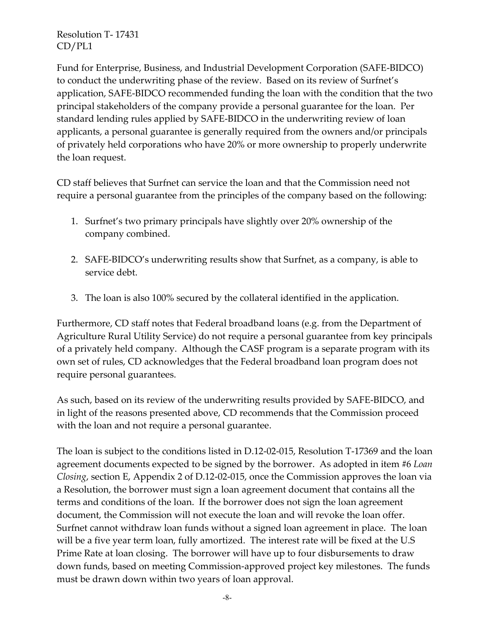Fund for Enterprise, Business, and Industrial Development Corporation (SAFE-BIDCO) to conduct the underwriting phase of the review. Based on its review of Surfnet's application, SAFE-BIDCO recommended funding the loan with the condition that the two principal stakeholders of the company provide a personal guarantee for the loan. Per standard lending rules applied by SAFE-BIDCO in the underwriting review of loan applicants, a personal guarantee is generally required from the owners and/or principals of privately held corporations who have 20% or more ownership to properly underwrite the loan request.

CD staff believes that Surfnet can service the loan and that the Commission need not require a personal guarantee from the principles of the company based on the following:

- 1. Surfnet's two primary principals have slightly over 20% ownership of the company combined.
- 2. SAFE-BIDCO's underwriting results show that Surfnet, as a company, is able to service debt.
- 3. The loan is also 100% secured by the collateral identified in the application.

Furthermore, CD staff notes that Federal broadband loans (e.g. from the Department of Agriculture Rural Utility Service) do not require a personal guarantee from key principals of a privately held company. Although the CASF program is a separate program with its own set of rules, CD acknowledges that the Federal broadband loan program does not require personal guarantees.

As such, based on its review of the underwriting results provided by SAFE-BIDCO, and in light of the reasons presented above, CD recommends that the Commission proceed with the loan and not require a personal guarantee.

The loan is subject to the conditions listed in D.12-02-015, Resolution T-17369 and the loan agreement documents expected to be signed by the borrower. As adopted in item #6 *Loan Closing*, section E, Appendix 2 of D.12-02-015, once the Commission approves the loan via a Resolution, the borrower must sign a loan agreement document that contains all the terms and conditions of the loan. If the borrower does not sign the loan agreement document, the Commission will not execute the loan and will revoke the loan offer. Surfnet cannot withdraw loan funds without a signed loan agreement in place. The loan will be a five year term loan, fully amortized. The interest rate will be fixed at the U.S Prime Rate at loan closing. The borrower will have up to four disbursements to draw down funds, based on meeting Commission-approved project key milestones. The funds must be drawn down within two years of loan approval.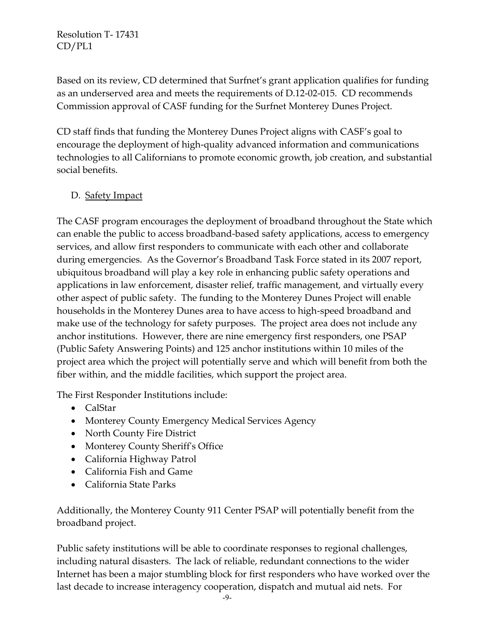Based on its review, CD determined that Surfnet's grant application qualifies for funding as an underserved area and meets the requirements of D.12-02-015. CD recommends Commission approval of CASF funding for the Surfnet Monterey Dunes Project.

CD staff finds that funding the Monterey Dunes Project aligns with CASF's goal to encourage the deployment of high-quality advanced information and communications technologies to all Californians to promote economic growth, job creation, and substantial social benefits.

### D. Safety Impact

The CASF program encourages the deployment of broadband throughout the State which can enable the public to access broadband-based safety applications, access to emergency services, and allow first responders to communicate with each other and collaborate during emergencies. As the Governor's Broadband Task Force stated in its 2007 report, ubiquitous broadband will play a key role in enhancing public safety operations and applications in law enforcement, disaster relief, traffic management, and virtually every other aspect of public safety. The funding to the Monterey Dunes Project will enable households in the Monterey Dunes area to have access to high-speed broadband and make use of the technology for safety purposes. The project area does not include any anchor institutions. However, there are nine emergency first responders, one PSAP (Public Safety Answering Points) and 125 anchor institutions within 10 miles of the project area which the project will potentially serve and which will benefit from both the fiber within, and the middle facilities, which support the project area.

The First Responder Institutions include:

- CalStar
- Monterey County Emergency Medical Services Agency
- North County Fire District
- Monterey County Sheriff's Office
- California Highway Patrol
- California Fish and Game
- California State Parks

Additionally, the Monterey County 911 Center PSAP will potentially benefit from the broadband project.

Public safety institutions will be able to coordinate responses to regional challenges, including natural disasters. The lack of reliable, redundant connections to the wider Internet has been a major stumbling block for first responders who have worked over the last decade to increase interagency cooperation, dispatch and mutual aid nets. For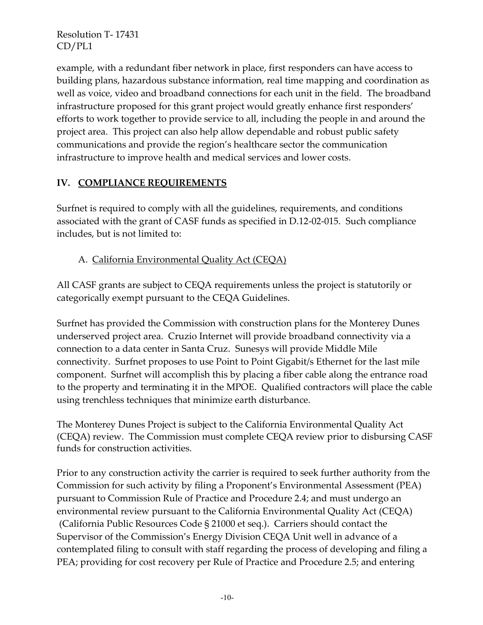example, with a redundant fiber network in place, first responders can have access to building plans, hazardous substance information, real time mapping and coordination as well as voice, video and broadband connections for each unit in the field. The broadband infrastructure proposed for this grant project would greatly enhance first responders' efforts to work together to provide service to all, including the people in and around the project area. This project can also help allow dependable and robust public safety communications and provide the region's healthcare sector the communication infrastructure to improve health and medical services and lower costs.

## **IV. COMPLIANCE REQUIREMENTS**

Surfnet is required to comply with all the guidelines, requirements, and conditions associated with the grant of CASF funds as specified in D.12-02-015. Such compliance includes, but is not limited to:

# A. California Environmental Quality Act (CEQA)

All CASF grants are subject to CEQA requirements unless the project is statutorily or categorically exempt pursuant to the CEQA Guidelines.

Surfnet has provided the Commission with construction plans for the Monterey Dunes underserved project area. Cruzio Internet will provide broadband connectivity via a connection to a data center in Santa Cruz. Sunesys will provide Middle Mile connectivity. Surfnet proposes to use Point to Point Gigabit/s Ethernet for the last mile component. Surfnet will accomplish this by placing a fiber cable along the entrance road to the property and terminating it in the MPOE. Qualified contractors will place the cable using trenchless techniques that minimize earth disturbance.

The Monterey Dunes Project is subject to the California Environmental Quality Act (CEQA) review. The Commission must complete CEQA review prior to disbursing CASF funds for construction activities.

Prior to any construction activity the carrier is required to seek further authority from the Commission for such activity by filing a Proponent's Environmental Assessment (PEA) pursuant to Commission Rule of Practice and Procedure 2.4; and must undergo an environmental review pursuant to the California Environmental Quality Act (CEQA) (California Public Resources Code § 21000 et seq.). Carriers should contact the Supervisor of the Commission's Energy Division CEQA Unit well in advance of a contemplated filing to consult with staff regarding the process of developing and filing a PEA; providing for cost recovery per Rule of Practice and Procedure 2.5; and entering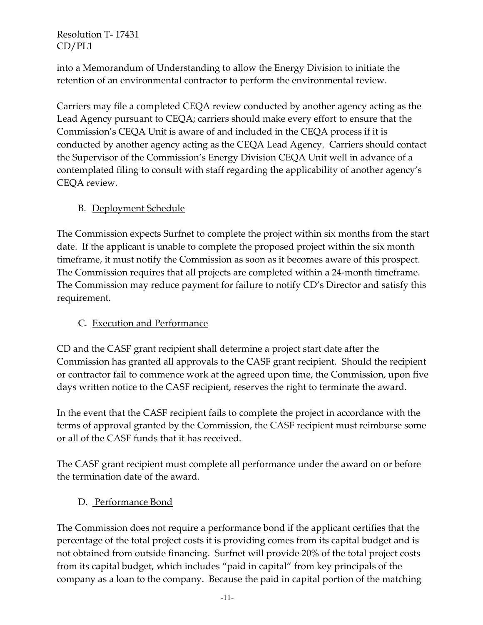into a Memorandum of Understanding to allow the Energy Division to initiate the retention of an environmental contractor to perform the environmental review.

Carriers may file a completed CEQA review conducted by another agency acting as the Lead Agency pursuant to CEQA; carriers should make every effort to ensure that the Commission's CEQA Unit is aware of and included in the CEQA process if it is conducted by another agency acting as the CEQA Lead Agency. Carriers should contact the Supervisor of the Commission's Energy Division CEQA Unit well in advance of a contemplated filing to consult with staff regarding the applicability of another agency's CEQA review.

## B. Deployment Schedule

The Commission expects Surfnet to complete the project within six months from the start date. If the applicant is unable to complete the proposed project within the six month timeframe, it must notify the Commission as soon as it becomes aware of this prospect. The Commission requires that all projects are completed within a 24-month timeframe. The Commission may reduce payment for failure to notify CD's Director and satisfy this requirement.

## C. Execution and Performance

CD and the CASF grant recipient shall determine a project start date after the Commission has granted all approvals to the CASF grant recipient. Should the recipient or contractor fail to commence work at the agreed upon time, the Commission, upon five days written notice to the CASF recipient, reserves the right to terminate the award.

In the event that the CASF recipient fails to complete the project in accordance with the terms of approval granted by the Commission, the CASF recipient must reimburse some or all of the CASF funds that it has received.

The CASF grant recipient must complete all performance under the award on or before the termination date of the award.

## D. Performance Bond

The Commission does not require a performance bond if the applicant certifies that the percentage of the total project costs it is providing comes from its capital budget and is not obtained from outside financing. Surfnet will provide 20% of the total project costs from its capital budget, which includes "paid in capital" from key principals of the company as a loan to the company. Because the paid in capital portion of the matching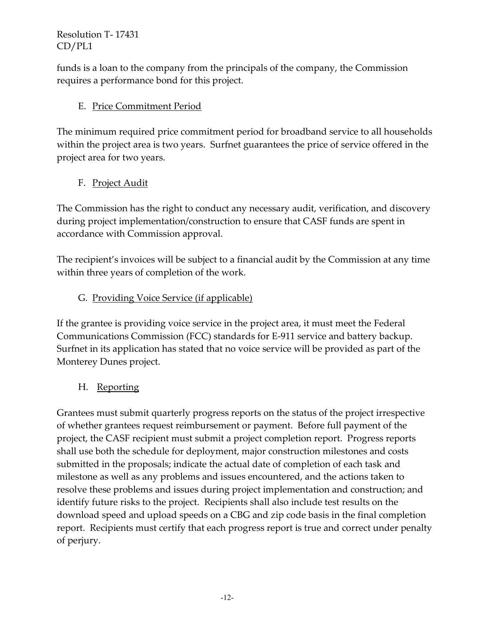funds is a loan to the company from the principals of the company, the Commission requires a performance bond for this project.

## E. Price Commitment Period

The minimum required price commitment period for broadband service to all households within the project area is two years. Surfnet guarantees the price of service offered in the project area for two years.

# F. Project Audit

The Commission has the right to conduct any necessary audit, verification, and discovery during project implementation/construction to ensure that CASF funds are spent in accordance with Commission approval.

The recipient's invoices will be subject to a financial audit by the Commission at any time within three years of completion of the work.

# G. Providing Voice Service (if applicable)

If the grantee is providing voice service in the project area, it must meet the Federal Communications Commission (FCC) standards for E-911 service and battery backup. Surfnet in its application has stated that no voice service will be provided as part of the Monterey Dunes project.

## H. Reporting

Grantees must submit quarterly progress reports on the status of the project irrespective of whether grantees request reimbursement or payment. Before full payment of the project, the CASF recipient must submit a project completion report. Progress reports shall use both the schedule for deployment, major construction milestones and costs submitted in the proposals; indicate the actual date of completion of each task and milestone as well as any problems and issues encountered, and the actions taken to resolve these problems and issues during project implementation and construction; and identify future risks to the project. Recipients shall also include test results on the download speed and upload speeds on a CBG and zip code basis in the final completion report. Recipients must certify that each progress report is true and correct under penalty of perjury.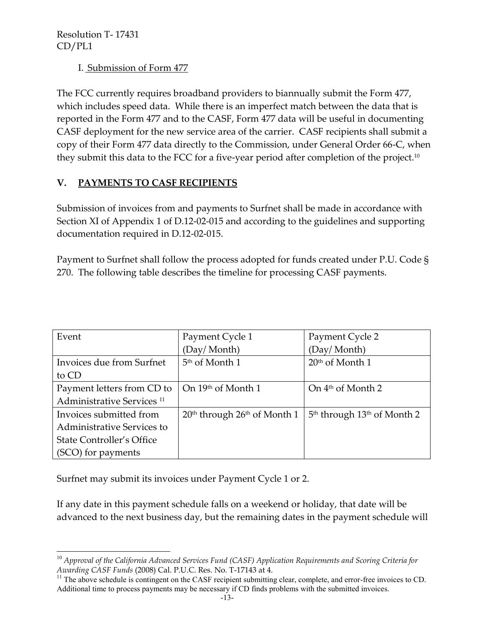I. Submission of Form 477

The FCC currently requires broadband providers to biannually submit the Form 477, which includes speed data. While there is an imperfect match between the data that is reported in the Form 477 and to the CASF, Form 477 data will be useful in documenting CASF deployment for the new service area of the carrier. CASF recipients shall submit a copy of their Form 477 data directly to the Commission, under General Order 66-C, when they submit this data to the FCC for a five-year period after completion of the project.<sup>10</sup>

# **V. PAYMENTS TO CASF RECIPIENTS**

Submission of invoices from and payments to Surfnet shall be made in accordance with Section XI of Appendix 1 of D.12-02-015 and according to the guidelines and supporting documentation required in D.12-02-015.

Payment to Surfnet shall follow the process adopted for funds created under P.U. Code § 270. The following table describes the timeline for processing CASF payments.

| Event                                 | Payment Cycle 1                  | Payment Cycle 2                 |
|---------------------------------------|----------------------------------|---------------------------------|
|                                       | (Day/Month)                      | (Day/Month)                     |
| Invoices due from Surfnet             | 5 <sup>th</sup> of Month 1       | $20th$ of Month 1               |
| to CD                                 |                                  |                                 |
| Payment letters from CD to            | On 19th of Month 1               | On $4th$ of Month 2             |
| Administrative Services <sup>11</sup> |                                  |                                 |
| Invoices submitted from               | $20th$ through $26th$ of Month 1 | $5th$ through $13th$ of Month 2 |
| Administrative Services to            |                                  |                                 |
| State Controller's Office             |                                  |                                 |
| (SCO) for payments                    |                                  |                                 |

Surfnet may submit its invoices under Payment Cycle 1 or 2.

If any date in this payment schedule falls on a weekend or holiday, that date will be advanced to the next business day, but the remaining dates in the payment schedule will

 $\overline{a}$ <sup>10</sup> *Approval of the California Advanced Services Fund (CASF) Application Requirements and Scoring Criteria for Awarding CASF Funds* (2008) Cal. P.U.C. Res. No. T-17143 at 4.

<sup>&</sup>lt;sup>11</sup> The above schedule is contingent on the CASF recipient submitting clear, complete, and error-free invoices to CD. Additional time to process payments may be necessary if CD finds problems with the submitted invoices.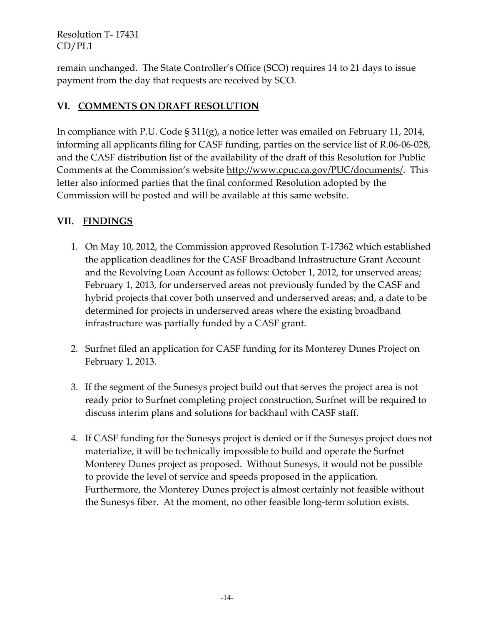remain unchanged. The State Controller's Office (SCO) requires 14 to 21 days to issue payment from the day that requests are received by SCO.

## **VI. COMMENTS ON DRAFT RESOLUTION**

In compliance with P.U. Code § 311(g), a notice letter was emailed on February 11, 2014, informing all applicants filing for CASF funding, parties on the service list of R.06-06-028, and the CASF distribution list of the availability of the draft of this Resolution for Public Comments at the Commission's website [http://www.cpuc.ca.gov/PUC/documents/.](http://www.cpuc.ca.gov/PUC/documents/) This letter also informed parties that the final conformed Resolution adopted by the Commission will be posted and will be available at this same website.

# **VII. FINDINGS**

- 1. On May 10, 2012, the Commission approved Resolution T-17362 which established the application deadlines for the CASF Broadband Infrastructure Grant Account and the Revolving Loan Account as follows: October 1, 2012, for unserved areas; February 1, 2013, for underserved areas not previously funded by the CASF and hybrid projects that cover both unserved and underserved areas; and, a date to be determined for projects in underserved areas where the existing broadband infrastructure was partially funded by a CASF grant.
- 2. Surfnet filed an application for CASF funding for its Monterey Dunes Project on February 1, 2013.
- 3. If the segment of the Sunesys project build out that serves the project area is not ready prior to Surfnet completing project construction, Surfnet will be required to discuss interim plans and solutions for backhaul with CASF staff.
- 4. If CASF funding for the Sunesys project is denied or if the Sunesys project does not materialize, it will be technically impossible to build and operate the Surfnet Monterey Dunes project as proposed. Without Sunesys, it would not be possible to provide the level of service and speeds proposed in the application. Furthermore, the Monterey Dunes project is almost certainly not feasible without the Sunesys fiber. At the moment, no other feasible long-term solution exists.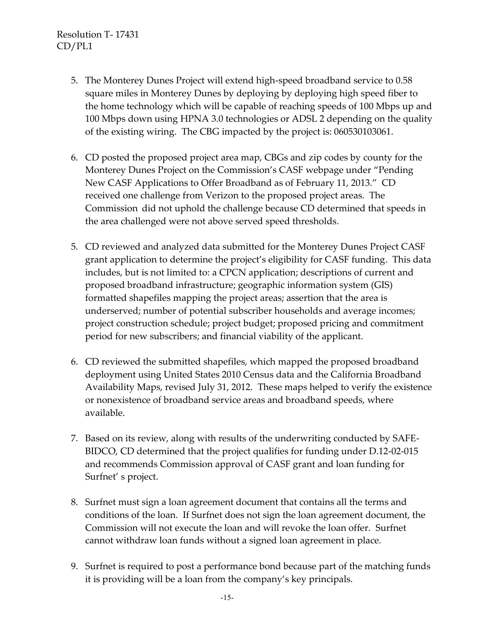- 5. The Monterey Dunes Project will extend high-speed broadband service to 0.58 square miles in Monterey Dunes by deploying by deploying high speed fiber to the home technology which will be capable of reaching speeds of 100 Mbps up and 100 Mbps down using HPNA 3.0 technologies or ADSL 2 depending on the quality of the existing wiring. The CBG impacted by the project is: 060530103061.
- 6. CD posted the proposed project area map, CBGs and zip codes by county for the Monterey Dunes Project on the Commission's CASF webpage under "Pending New CASF Applications to Offer Broadband as of February 11, 2013." CD received one challenge from Verizon to the proposed project areas. The Commission did not uphold the challenge because CD determined that speeds in the area challenged were not above served speed thresholds.
- 5. CD reviewed and analyzed data submitted for the Monterey Dunes Project CASF grant application to determine the project's eligibility for CASF funding. This data includes, but is not limited to: a CPCN application; descriptions of current and proposed broadband infrastructure; geographic information system (GIS) formatted shapefiles mapping the project areas; assertion that the area is underserved; number of potential subscriber households and average incomes; project construction schedule; project budget; proposed pricing and commitment period for new subscribers; and financial viability of the applicant.
- 6. CD reviewed the submitted shapefiles, which mapped the proposed broadband deployment using United States 2010 Census data and the California Broadband Availability Maps, revised July 31, 2012. These maps helped to verify the existence or nonexistence of broadband service areas and broadband speeds, where available.
- 7. Based on its review, along with results of the underwriting conducted by SAFE-BIDCO, CD determined that the project qualifies for funding under D.12-02-015 and recommends Commission approval of CASF grant and loan funding for Surfnet' s project.
- 8. Surfnet must sign a loan agreement document that contains all the terms and conditions of the loan. If Surfnet does not sign the loan agreement document, the Commission will not execute the loan and will revoke the loan offer. Surfnet cannot withdraw loan funds without a signed loan agreement in place.
- 9. Surfnet is required to post a performance bond because part of the matching funds it is providing will be a loan from the company's key principals.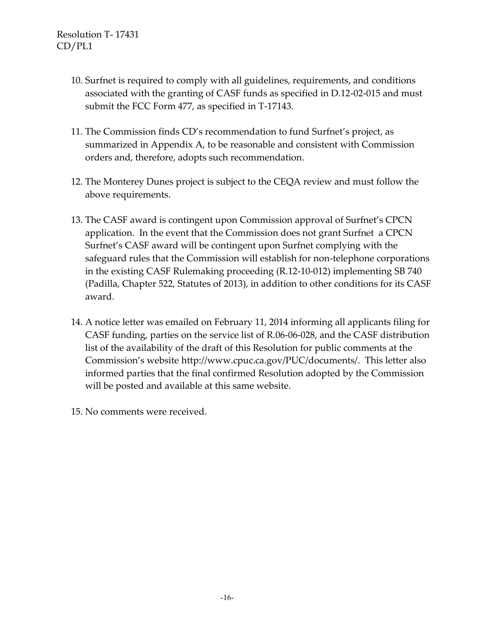- 10. Surfnet is required to comply with all guidelines, requirements, and conditions associated with the granting of CASF funds as specified in D.12-02-015 and must submit the FCC Form 477, as specified in T-17143.
- 11. The Commission finds CD's recommendation to fund Surfnet's project, as summarized in Appendix A, to be reasonable and consistent with Commission orders and, therefore, adopts such recommendation.
- 12. The Monterey Dunes project is subject to the CEQA review and must follow the above requirements.
- 13. The CASF award is contingent upon Commission approval of Surfnet's CPCN application. In the event that the Commission does not grant Surfnet a CPCN Surfnet's CASF award will be contingent upon Surfnet complying with the safeguard rules that the Commission will establish for non-telephone corporations in the existing CASF Rulemaking proceeding (R.12-10-012) implementing SB 740 (Padilla, Chapter 522, Statutes of 2013), in addition to other conditions for its CASF award.
- 14. A notice letter was emailed on February 11, 2014 informing all applicants filing for CASF funding, parties on the service list of R.06-06-028, and the CASF distribution list of the availability of the draft of this Resolution for public comments at the Commission's website [http://www.cpuc.ca.gov/PUC/documents/.](http://www.cpuc.ca.gov/PUC/documents/) This letter also informed parties that the final confirmed Resolution adopted by the Commission will be posted and available at this same website.
- 15. No comments were received.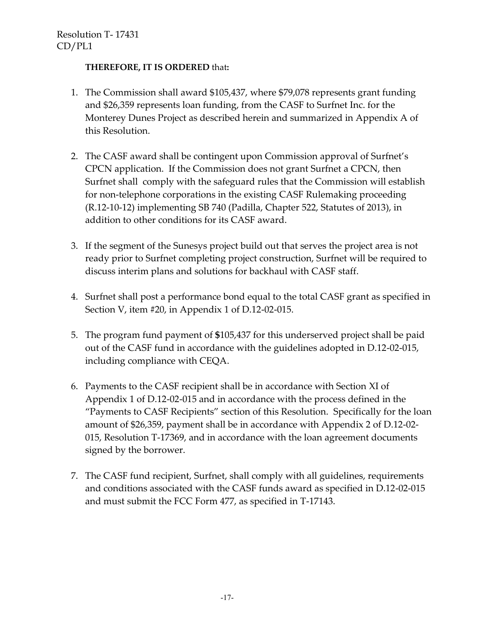#### **THEREFORE, IT IS ORDERED** that**:**

- 1. The Commission shall award \$105,437, where \$79,078 represents grant funding and \$26,359 represents loan funding, from the CASF to Surfnet Inc. for the Monterey Dunes Project as described herein and summarized in Appendix A of this Resolution.
- 2. The CASF award shall be contingent upon Commission approval of Surfnet's CPCN application. If the Commission does not grant Surfnet a CPCN, then Surfnet shall comply with the safeguard rules that the Commission will establish for non-telephone corporations in the existing CASF Rulemaking proceeding (R.12-10-12) implementing SB 740 (Padilla, Chapter 522, Statutes of 2013), in addition to other conditions for its CASF award.
- 3. If the segment of the Sunesys project build out that serves the project area is not ready prior to Surfnet completing project construction, Surfnet will be required to discuss interim plans and solutions for backhaul with CASF staff.
- 4. Surfnet shall post a performance bond equal to the total CASF grant as specified in Section V, item #20, in Appendix 1 of D.12-02-015.
- 5. The program fund payment of **\$**105,437 for this underserved project shall be paid out of the CASF fund in accordance with the guidelines adopted in D.12-02-015, including compliance with CEQA.
- 6. Payments to the CASF recipient shall be in accordance with Section XI of Appendix 1 of D.12-02-015 and in accordance with the process defined in the "Payments to CASF Recipients" section of this Resolution. Specifically for the loan amount of \$26,359, payment shall be in accordance with Appendix 2 of D.12-02- 015, Resolution T-17369, and in accordance with the loan agreement documents signed by the borrower.
- 7. The CASF fund recipient, Surfnet, shall comply with all guidelines, requirements and conditions associated with the CASF funds award as specified in D.12-02-015 and must submit the FCC Form 477, as specified in T-17143.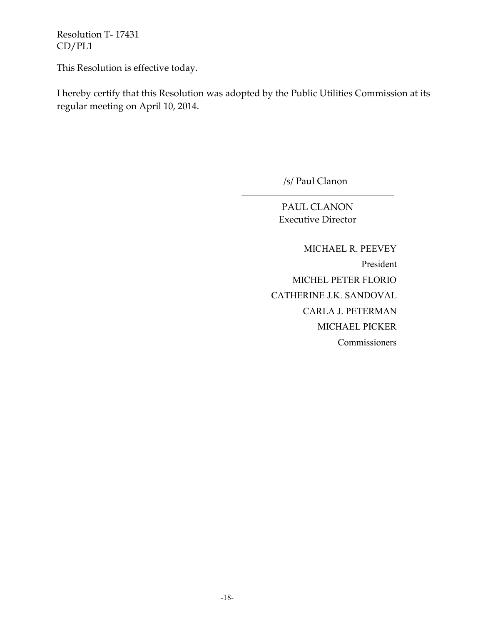This Resolution is effective today.

I hereby certify that this Resolution was adopted by the Public Utilities Commission at its regular meeting on April 10, 2014.

/s/ Paul Clanon

PAUL CLANON Executive Director

 MICHAEL R. PEEVEY President MICHEL PETER FLORIO CATHERINE J.K. SANDOVAL CARLA J. PETERMAN MICHAEL PICKER Commissioners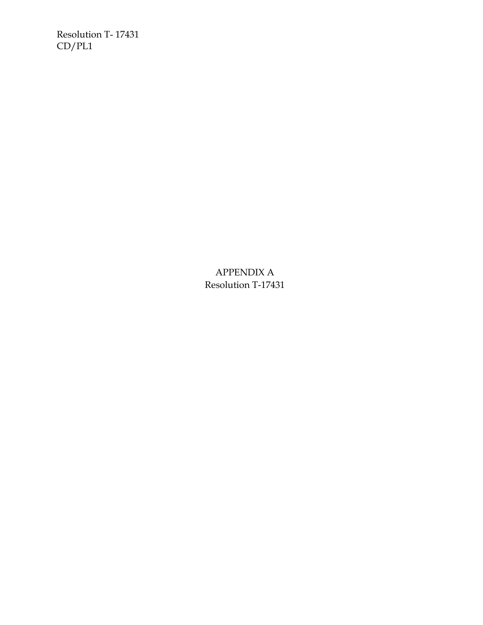> APPENDIX A Resolution T-17431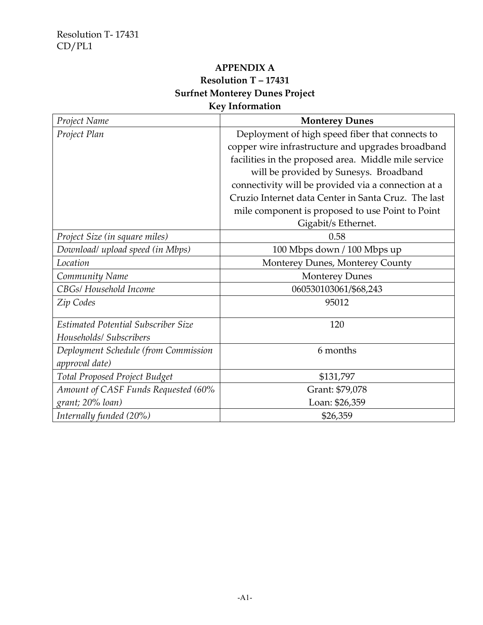### **APPENDIX A Resolution T – 17431 Surfnet Monterey Dunes Project Key Information**

### *Project Name* **Monterey Dunes** *Project Plan* Project *Plan* **Deployment of high speed fiber that connects to** copper wire infrastructure and upgrades broadband facilities in the proposed area. Middle mile service will be provided by Sunesys. Broadband connectivity will be provided via a connection at a Cruzio Internet data Center in Santa Cruz. The last mile component is proposed to use Point to Point Gigabit/s Ethernet. *Project Size (in square miles)* 0.58 *Download/ upload speed (in Mbps)* 100 Mbps down / 100 Mbps up *Location* Monterey Dunes, Monterey County *Community Name* Monterey Dunes *CBGs/ Household Income* 060530103061/\$68,243 *Zip Codes* 95012 *Estimated Potential Subscriber Size Households/ Subscribers* 120 *Deployment Schedule (from Commission approval date)* 6 months *Total Proposed Project Budget* \$131,797 *Amount of CASF Funds Requested (60% grant; 20% loan)* Grant: \$79,078 Loan: \$26,359 *Internally funded (20%)*  $$26,359$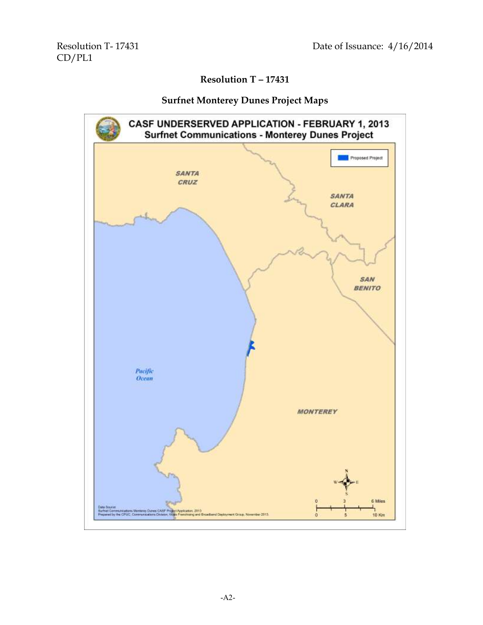# **Resolution T – 17431**

#### **Surfnet Monterey Dunes Project Maps**